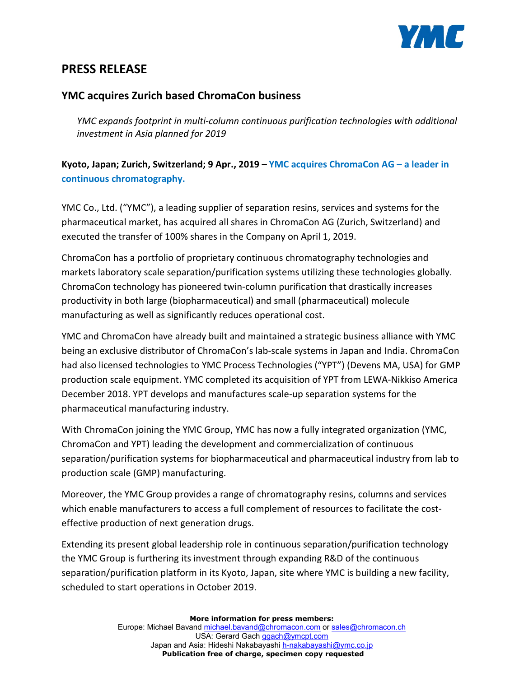

# **PRESS RELEASE**

### **YMC acquires Zurich based ChromaCon business**

*YMC expands footprint in multi-column continuous purification technologies with additional investment in Asia planned for 2019*

## **Kyoto, Japan; Zurich, Switzerland; 9 Apr., 2019 – YMC acquires ChromaCon AG – a leader in continuous chromatography.**

YMC Co., Ltd. ("YMC"), a leading supplier of separation resins, services and systems for the pharmaceutical market, has acquired all shares in ChromaCon AG (Zurich, Switzerland) and executed the transfer of 100% shares in the Company on April 1, 2019.

ChromaCon has a portfolio of proprietary continuous chromatography technologies and markets laboratory scale separation/purification systems utilizing these technologies globally. ChromaCon technology has pioneered twin-column purification that drastically increases productivity in both large (biopharmaceutical) and small (pharmaceutical) molecule manufacturing as well as significantly reduces operational cost.

YMC and ChromaCon have already built and maintained a strategic business alliance with YMC being an exclusive distributor of ChromaCon's lab-scale systems in Japan and India. ChromaCon had also licensed technologies to YMC Process Technologies ("YPT") (Devens MA, USA) for GMP production scale equipment. YMC completed its acquisition of YPT from LEWA-Nikkiso America December 2018. YPT develops and manufactures scale-up separation systems for the pharmaceutical manufacturing industry.

With ChromaCon joining the YMC Group, YMC has now a fully integrated organization (YMC, ChromaCon and YPT) leading the development and commercialization of continuous separation/purification systems for biopharmaceutical and pharmaceutical industry from lab to production scale (GMP) manufacturing.

Moreover, the YMC Group provides a range of chromatography resins, columns and services which enable manufacturers to access a full complement of resources to facilitate the costeffective production of next generation drugs.

Extending its present global leadership role in continuous separation/purification technology the YMC Group is furthering its investment through expanding R&D of the continuous separation/purification platform in its Kyoto, Japan, site where YMC is building a new facility, scheduled to start operations in October 2019.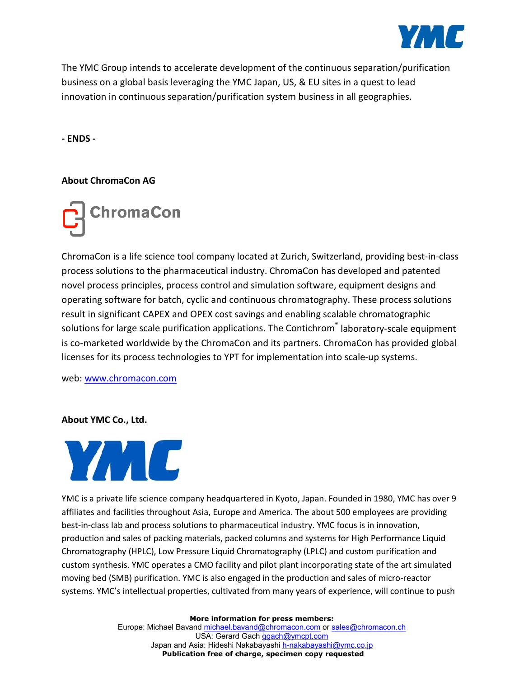

The YMC Group intends to accelerate development of the continuous separation/purification business on a global basis leveraging the YMC Japan, US, & EU sites in a quest to lead innovation in continuous separation/purification system business in all geographies.

**- ENDS -**

### **About ChromaCon AG**



ChromaCon is a life science tool company located at Zurich, Switzerland, providing best-in-class process solutions to the pharmaceutical industry. ChromaCon has developed and patented novel process principles, process control and simulation software, equipment designs and operating software for batch, cyclic and continuous chromatography. These process solutions result in significant CAPEX and OPEX cost savings and enabling scalable chromatographic solutions for large scale purification applications. The Contichrom<sup>®</sup> laboratory-scale equipment is co-marketed worldwide by the ChromaCon and its partners. ChromaCon has provided global licenses for its process technologies to YPT for implementation into scale-up systems.

web: [www.chromacon.com](http://www.chromacon.com/)

#### **About YMC Co., Ltd.**



YMC is a private life science company headquartered in Kyoto, Japan. Founded in 1980, YMC has over 9 affiliates and facilities throughout Asia, Europe and America. The about 500 employees are providing best-in-class lab and process solutions to pharmaceutical industry. YMC focus is in innovation, production and sales of packing materials, packed columns and systems for High Performance Liquid Chromatography (HPLC), Low Pressure Liquid Chromatography (LPLC) and custom purification and custom synthesis. YMC operates a CMO facility and pilot plant incorporating state of the art simulated moving bed (SMB) purification. YMC is also engaged in the production and sales of micro-reactor systems. YMC's intellectual properties, cultivated from many years of experience, will continue to push

**More information for press members:**

Europe: Michael Bavand [michael.bavand@chromacon.com](mailto:michael.bavand@chromacon.com) o[r sales@chromacon.ch](mailto:sales@chromacon.ch) USA: Gerard Gach [ggach@ymcpt.com](mailto:ggach@ymcpt.com) Japan and Asia: Hideshi Nakabayashi [h-nakabayashi@ymc.co.jp](mailto:h-nakabayashi@ymc.co.jp) **Publication free of charge, specimen copy requested**